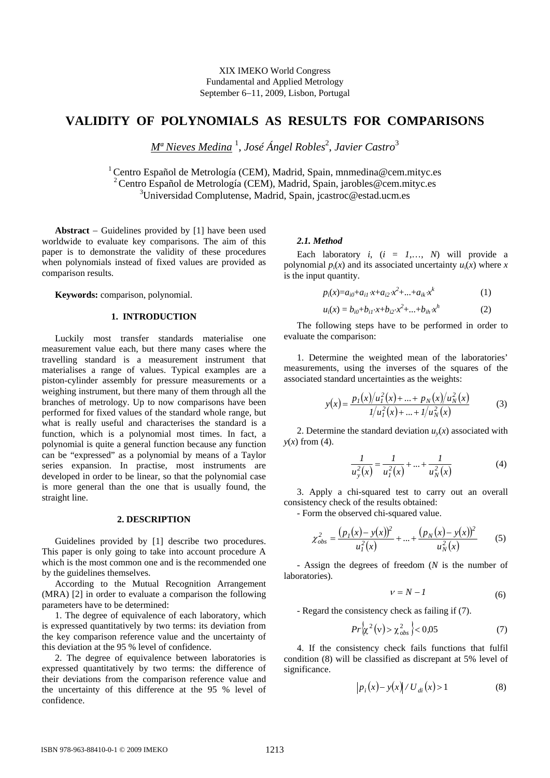XIX IMEKO World Congress Fundamental and Applied Metrology September 6−11, 2009, Lisbon, Portugal

# **VALIDITY OF POLYNOMIALS AS RESULTS FOR COMPARISONS**

*Mª Nieves Medina* <sup>1</sup> , *José Ángel Robles*<sup>2</sup> , *Javier Castro*<sup>3</sup>

<sup>1</sup> Centro Español de Metrología (CEM), Madrid, Spain, mnmedina@cem.mityc.es 2 Centro Español de Metrología (CEM), Madrid, Spain, jarobles@cem.mityc.es 3 Universidad Complutense, Madrid, Spain, jcastroc@estad.ucm.es

**Abstract** − Guidelines provided by [1] have been used worldwide to evaluate key comparisons. The aim of this paper is to demonstrate the validity of these procedures when polynomials instead of fixed values are provided as comparison results.

**Keywords:** comparison, polynomial.

## **1. INTRODUCTION**

Luckily most transfer standards materialise one measurement value each, but there many cases where the travelling standard is a measurement instrument that materialises a range of values. Typical examples are a piston-cylinder assembly for pressure measurements or a weighing instrument, but there many of them through all the branches of metrology. Up to now comparisons have been performed for fixed values of the standard whole range, but what is really useful and characterises the standard is a function, which is a polynomial most times. In fact, a polynomial is quite a general function because any function can be "expressed" as a polynomial by means of a Taylor series expansion. In practise, most instruments are developed in order to be linear, so that the polynomial case is more general than the one that is usually found, the straight line.

# **2. DESCRIPTION**

Guidelines provided by [1] describe two procedures. This paper is only going to take into account procedure A which is the most common one and is the recommended one by the guidelines themselves.

According to the Mutual Recognition Arrangement (MRA) [2] in order to evaluate a comparison the following parameters have to be determined:

1. The degree of equivalence of each laboratory, which is expressed quantitatively by two terms: its deviation from the key comparison reference value and the uncertainty of this deviation at the 95 % level of confidence.

2. The degree of equivalence between laboratories is expressed quantitatively by two terms: the difference of their deviations from the comparison reference value and the uncertainty of this difference at the 95 % level of confidence.

#### *2.1. Method*

Each laboratory  $i$ ,  $(i = 1,..., N)$  will provide a polynomial  $p_i(x)$  and its associated uncertainty  $u_i(x)$  where *x* is the input quantity.

$$
p_i(x) = a_{i0} + a_{i1} \cdot x + a_{i2} \cdot x^2 + \dots + a_{ik} \cdot x^k \tag{1}
$$

$$
u_i(x) = b_{i0} + b_{i1} \cdot x + b_{i2} \cdot x^2 + \dots + b_{ih} \cdot x^h \tag{2}
$$

The following steps have to be performed in order to evaluate the comparison:

1. Determine the weighted mean of the laboratories' measurements, using the inverses of the squares of the associated standard uncertainties as the weights:

$$
y(x) = \frac{p_1(x)/u_1^2(x) + \dots + p_N(x)/u_N^2(x)}{1/u_1^2(x) + \dots + 1/u_N^2(x)}
$$
(3)

2. Determine the standard deviation  $u(x)$  associated with  $y(x)$  from (4).

$$
\frac{1}{u_y^2(x)} = \frac{1}{u_1^2(x)} + \dots + \frac{1}{u_N^2(x)}
$$
(4)

3. Apply a chi-squared test to carry out an overall consistency check of the results obtained:

- Form the observed chi-squared value.

$$
\chi_{obs}^2 = \frac{(p_1(x) - y(x))^2}{u_1^2(x)} + \dots + \frac{(p_N(x) - y(x))^2}{u_N^2(x)}
$$
(5)

- Assign the degrees of freedom (*N* is the number of laboratories).

$$
v = N - I \tag{6}
$$

- Regard the consistency check as failing if (7).

$$
Pr\left\{\chi^2(v) > \chi^2_{obs}\right\} < 0.05\tag{7}
$$

4. If the consistency check fails functions that fulfil condition (8) will be classified as discrepant at 5% level of significance.

$$
|p_i(x) - y(x)| / U_{di}(x) > 1
$$
 (8)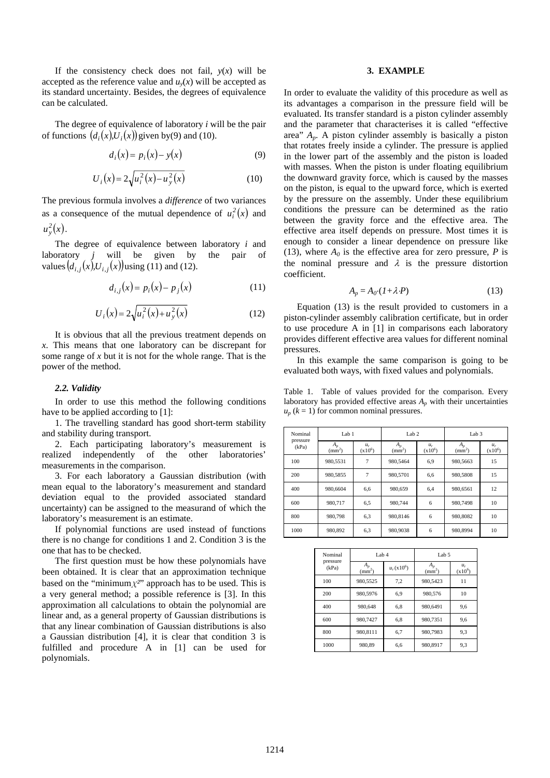If the consistency check does not fail,  $y(x)$  will be accepted as the reference value and  $u<sub>v</sub>(x)$  will be accepted as its standard uncertainty. Besides, the degrees of equivalence can be calculated.

The degree of equivalence of laboratory *i* will be the pair of functions  $(d_i(x), U_i(x))$  given by(9) and (10).

$$
d_i(x) = p_i(x) - y(x) \tag{9}
$$

$$
U_i(x) = 2\sqrt{u_i^2(x) - u_y^2(x)}
$$
 (10)

The previous formula involves a *difference* of two variances as a consequence of the mutual dependence of  $u_i^2(x)$  and  $u_{y}^{2}(x)$ .

 The degree of equivalence between laboratory *i* and laboratory *j* will be given by the pair of values  $(d_{i,j}(x), U_{i,j}(x))$  using (11) and (12).

$$
d_{i,j}(x) = p_i(x) - p_j(x) \tag{11}
$$

$$
U_i(x) = 2\sqrt{u_i^2(x) + u_y^2(x)}
$$
 (12)

It is obvious that all the previous treatment depends on *x*. This means that one laboratory can be discrepant for some range of *x* but it is not for the whole range. That is the power of the method.

#### *2.2. Validity*

In order to use this method the following conditions have to be applied according to [1]:

1. The travelling standard has good short-term stability and stability during transport.

2. Each participating laboratory's measurement is realized independently of the other laboratories' measurements in the comparison.

3. For each laboratory a Gaussian distribution (with mean equal to the laboratory's measurement and standard deviation equal to the provided associated standard uncertainty) can be assigned to the measurand of which the laboratory's measurement is an estimate.

If polynomial functions are used instead of functions there is no change for conditions 1 and 2. Condition 3 is the one that has to be checked.

The first question must be how these polynomials have been obtained. It is clear that an approximation technique based on the "minimum $\chi^{2}$ " approach has to be used. This is a very general method; a possible reference is [3]. In this approximation all calculations to obtain the polynomial are linear and, as a general property of Gaussian distributions is that any linear combination of Gaussian distributions is also a Gaussian distribution [4], it is clear that condition 3 is fulfilled and procedure A in [1] can be used for polynomials.

#### **3. EXAMPLE**

In order to evaluate the validity of this procedure as well as its advantages a comparison in the pressure field will be evaluated. Its transfer standard is a piston cylinder assembly and the parameter that characterises it is called "effective area" *Ap*. A piston cylinder assembly is basically a piston that rotates freely inside a cylinder. The pressure is applied in the lower part of the assembly and the piston is loaded with masses. When the piston is under floating equilibrium the downward gravity force, which is caused by the masses on the piston, is equal to the upward force, which is exerted by the pressure on the assembly. Under these equilibrium conditions the pressure can be determined as the ratio between the gravity force and the effective area. The effective area itself depends on pressure. Most times it is enough to consider a linear dependence on pressure like (13), where  $A_0$  is the effective area for zero pressure, *P* is the nominal pressure and  $\lambda$  is the pressure distortion coefficient.

$$
A_p = A_0 \cdot (1 + \lambda \cdot P) \tag{13}
$$

 Equation (13) is the result provided to customers in a piston-cylinder assembly calibration certificate, but in order to use procedure A in [1] in comparisons each laboratory provides different effective area values for different nominal pressures.

 In this example the same comparison is going to be evaluated both ways, with fixed values and polynomials.

Table 1. Table of values provided for the comparison. Every laboratory has provided effective areas  $A_n$  with their uncertainties  $u_p$  ( $k = 1$ ) for common nominal pressures.

| Nominal           | Lab 1                 |                    | Lab <sub>2</sub>      |                    | Lab <sub>3</sub>         |                    |
|-------------------|-----------------------|--------------------|-----------------------|--------------------|--------------------------|--------------------|
| pressure<br>(kPa) | $A_p$<br>$\text{m}^2$ | $u_r$<br>$(x10^6)$ | $A_p$<br>$\text{m}^2$ | $u_r$<br>$(x10^6)$ | $A_p$<br>$\text{(mm}^2)$ | $u_r$<br>$(x10^6)$ |
| 100               | 980.5531              | 7                  | 980,5464              | 6.9                | 980,5663                 | 15                 |
| 200               | 980.5855              | 7                  | 980,5701              | 6,6                | 980,5808                 | 15                 |
| 400               | 980,6604              | 6,6                | 980.659               | 6,4                | 980,6561                 | 12                 |
| 600               | 980,717               | 6,5                | 980,744               | 6                  | 980,7498                 | 10                 |
| 800               | 980,798               | 6,3                | 980,8146              | 6                  | 980,8082                 | 10                 |
| 1000              | 980.892               | 6,3                | 980,9038              | 6                  | 980,8994                 | 10                 |

| Nominal           | Lab 4                    |              | Lab 5                 |                    |  |
|-------------------|--------------------------|--------------|-----------------------|--------------------|--|
| pressure<br>(kPa) | А,<br>(mm <sup>2</sup> ) | $u_r(x10^6)$ | $A_n$<br>$\text{m}^2$ | $u_r$<br>$(x10^6)$ |  |
| 100               | 980.5525                 | 7,2          | 980.5423              | 11                 |  |
| 200               | 980,5976                 | 6.9          | 980,576               | 10                 |  |
| 400               | 980,648                  | 6,8          | 980,6491              | 9,6                |  |
| 600               | 980,7427                 | 6.8          | 980,7351              | 9,6                |  |
| 800               | 980.8111                 | 6,7          | 980,7983              | 9,3                |  |
| 1000              | 980.89                   | 6.6          | 980.8917              | 9,3                |  |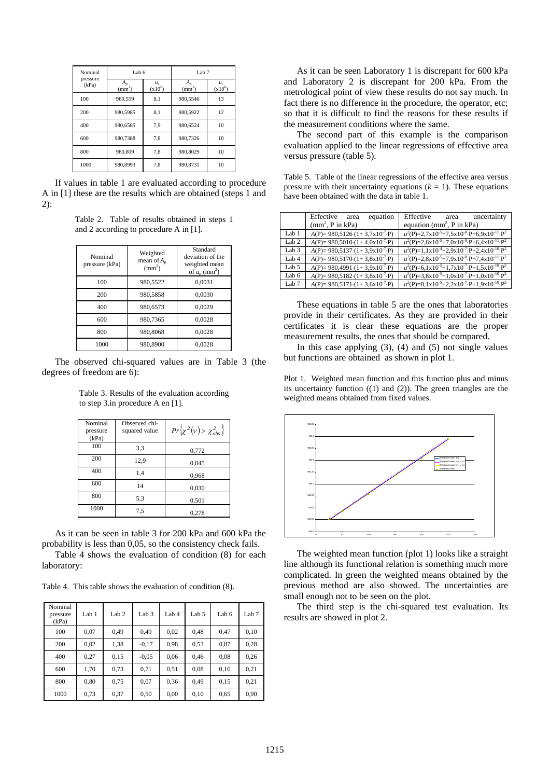| Nominal           | Lab 6                         |                    | Lab <sub>7</sub>           |                    |  |
|-------------------|-------------------------------|--------------------|----------------------------|--------------------|--|
| pressure<br>(kPa) | $A_{p}$<br>(mm <sup>2</sup> ) | $u_r$<br>$(x10^6)$ | $A_{p}$<br>$\text{mm}^2$ ) | $u_r$<br>$(x10^6)$ |  |
| 100               | 980,559                       | 8,1                | 980,5546                   | 13                 |  |
| 200               | 980,5985                      | 8,1                | 980.5922                   | 12                 |  |
| 400               | 980.6585                      | 7.9                | 980.6524                   | 10                 |  |
| 600               | 980,7388                      | 7,8                | 980,7326                   | 10                 |  |
| 800               | 980,809                       | 7,8                | 980,8029                   | 10                 |  |
| 1000              | 980,8993                      | 7,8                | 980,8731                   | 10                 |  |

If values in table 1 are evaluated according to procedure A in [1] these are the results which are obtained (steps 1 and 2):

Table 2. Table of results obtained in steps 1 and 2 according to procedure A in [1].

| Nominal<br>pressure (kPa) | Weighted<br>mean of $A_n$<br>$\text{m}^2$ | Standard<br>deviation of the<br>weighted mean<br>of $u_n$ (mm <sup>2</sup> ) |
|---------------------------|-------------------------------------------|------------------------------------------------------------------------------|
| 100                       | 980,5522                                  | 0,0031                                                                       |
| 200                       | 980,5858                                  | 0,0030                                                                       |
| 400                       | 980,6573                                  | 0,0029                                                                       |
| 600                       | 980,7365                                  | 0,0028                                                                       |
| 800                       | 980,8068                                  | 0,0028                                                                       |
| 1000                      | 980,8900                                  | 0,0028                                                                       |

The observed chi-squared values are in Table 3 (the degrees of freedom are 6):

Table 3. Results of the evaluation according to step 3.in procedure A en [1].

| Nominal<br>pressure<br>(kPa) | Observed chi-<br>squared value | $Pr\left\{ \chi^2(\nu) > \chi^2_{obs} \right\}$ |
|------------------------------|--------------------------------|-------------------------------------------------|
| 100                          | 3,3                            | 0,772                                           |
| 200                          | 12,9                           | 0,045                                           |
| 400                          | 1,4                            | 0,968                                           |
| 600                          | 14                             | 0,030                                           |
| 800                          | 5,3                            | 0,501                                           |
| 1000                         | 7,5                            | 0,278                                           |

As it can be seen in table 3 for 200 kPa and 600 kPa the probability is less than 0,05, so the consistency check fails.

Table 4 shows the evaluation of condition (8) for each laboratory:

Table 4. This table shows the evaluation of condition (8).

| Nominal<br>pressure<br>(kPa) | Lab 1 | Lab <sub>2</sub> | Lab <sub>3</sub> | Lab 4 | Lab 5 | Lab 6 | Lab <sub>7</sub> |
|------------------------------|-------|------------------|------------------|-------|-------|-------|------------------|
| 100                          | 0.07  | 0.49             | 0.49             | 0,02  | 0.48  | 0.47  | 0,10             |
| 200                          | 0,02  | 1,38             | $-0,17$          | 0.98  | 0.53  | 0,87  | 0,28             |
| 400                          | 0,27  | 0,15             | $-0.05$          | 0,06  | 0,46  | 0,08  | 0,26             |
| 600                          | 1,70  | 0,73             | 0,71             | 0,51  | 0.08  | 0,16  | 0,21             |
| 800                          | 0,80  | 0,75             | 0,07             | 0.36  | 0.49  | 0,15  | 0,21             |
| 1000                         | 0,73  | 0,37             | 0,50             | 0,00  | 0,10  | 0,65  | 0,90             |

As it can be seen Laboratory 1 is discrepant for 600 kPa and Laboratory 2 is discrepant for 200 kPa. From the metrological point of view these results do not say much. In fact there is no difference in the procedure, the operator, etc; so that it is difficult to find the reasons for these results if the measurement conditions where the same.

The second part of this example is the comparison evaluation applied to the linear regressions of effective area versus pressure (table 5).

Table 5. Table of the linear regressions of the effective area versus pressure with their uncertainty equations  $(k = 1)$ . These equations have been obtained with the data in table 1.

|                  | Effective<br>equation<br>area                    | Effective<br>uncertainty<br>area                                                        |
|------------------|--------------------------------------------------|-----------------------------------------------------------------------------------------|
|                  | $(mm^2, P$ in kPa)                               | equation ( $mm^2$ , P in kPa)                                                           |
| Lab 1            | $A(P) = 980,5126(1+3,7x10^{7} \cdot P)$          | $u^2(P)=2,7x10^{-5}+7,5x10^{-8}\cdot P+6,9x10^{-11}\cdot P^2$                           |
| Lab <sub>2</sub> | $A(P) = 980,5010 \cdot (1 + 4,0x10^{7} \cdot P)$ | $u^2(P)=2.6x10^{-5}+7.0x10^{-8} \cdot P+6.4x10^{-11} \cdot P^2$                         |
| Lab 3            | $A(P) = 980,5137 \cdot (1 + 3,9x10^{7} \cdot P)$ | $u^2(P)=1, 1 \times 10^{-4}+2, 9 \times 10^{-7} \cdot P+2, 4 \times 10^{-10} \cdot P^2$ |
| Lab 4            | $A(P) = 980,5170(1+3,8x10^{7} \cdot P)$          | $u^2(P)=2.8x10^{-5}+7.9x10^{-8} \cdot P+7.4x10^{-11} \cdot P^2$                         |
| Lab 5            | $A(P) = 980,4991 \cdot (1 + 3,9x10^{7} \cdot P)$ | $u^2(P)=6, 1x10^{-5}+1, 7x10^{-7} \cdot P+1, 5x10^{-10} \cdot P^2$                      |
| Lab 6            | $A(P) = 980,5182 \cdot (1 + 3,8x10^{7} \cdot P)$ | $u^2(P)=3.8\times10^{-5}+1.0\times10^{-7}\cdot P+1.0\times10^{-10}\cdot P^2$            |
| Lab 7            | $A(P) = 980,5171(1+3,6x10^{7} \cdot P)$          | $u^2(P)=8,1x10^{-5}+2,2x10^{-7}\cdot P+1,9x10^{-10}\cdot P^2$                           |

These equations in table 5 are the ones that laboratories provide in their certificates. As they are provided in their certificates it is clear these equations are the proper measurement results, the ones that should be compared.

In this case applying  $(3)$ ,  $(4)$  and  $(5)$  not single values but functions are obtained as shown in plot 1.

Plot 1. Weighted mean function and this function plus and minus its uncertainty function ((1) and (2)). The green triangles are the weighted means obtained from fixed values.



The weighted mean function (plot 1) looks like a straight line although its functional relation is something much more complicated. In green the weighted means obtained by the previous method are also showed. The uncertainties are small enough not to be seen on the plot.

The third step is the chi-squared test evaluation. Its results are showed in plot 2.